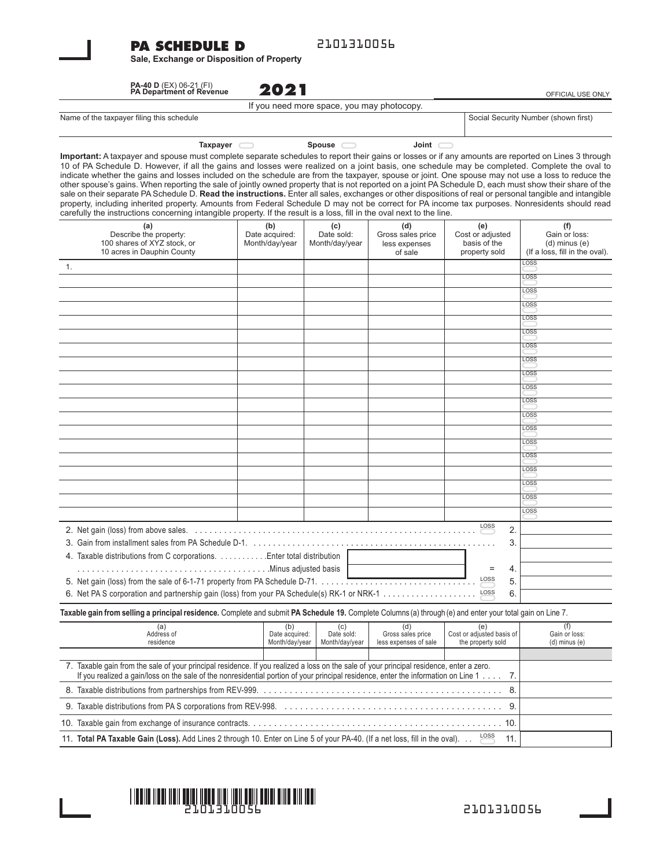#### **PA SCHEDULE D**

2101310056

**Sale, Exchange or Disposition of Property**

**2021 PA-40 D** (EX) 06-21 (FI) **PA Department of Revenue**

OFFICIAL USE ONLY

Social Security Number (shown first)

If you need more space, you may photocopy.

**Taxpayer Spouse Joint**

**Important:** A taxpayer and spouse must complete separate schedules to report their gains or losses or if any amounts are reported on Lines 3 through 10 of PA Schedule D. However, if all the gains and losses were realized on a joint basis, one schedule may be completed. Complete the oval to indicate whether the gains and losses included on the schedule are from the taxpayer, spouse or joint. One spouse may not use a loss to reduce the other spouse's gains. When reporting the sale of jointly owned property that is not reported on a joint PA Schedule D, each must show their share of the sale on their separate PA Schedule D. Read the instructions. Enter all sales, exchanges or other dispositions of real or personal tangible and intangible property, including inherited property. Amounts from Federal Schedule D may not be correct for PA income tax purposes. Nonresidents should read carefully the instructions concerning intangible property. If the result is a loss, fill in the oval next to the line.

| (a)<br>Describe the property:<br>100 shares of XYZ stock, or<br>10 acres in Dauphin County | (b)<br>Date acquired:<br>Month/day/year | (c)<br>Date sold:<br>Month/day/year | (d)<br>Gross sales price<br>less expenses<br>of sale | (e)<br>Cost or adjusted<br>basis of the<br>property sold | (f)<br>Gain or loss:<br>$(d)$ minus $(e)$<br>(If a loss, fill in the oval). |
|--------------------------------------------------------------------------------------------|-----------------------------------------|-------------------------------------|------------------------------------------------------|----------------------------------------------------------|-----------------------------------------------------------------------------|
| 1.                                                                                         |                                         |                                     |                                                      |                                                          | LOSS                                                                        |
|                                                                                            |                                         |                                     |                                                      |                                                          | LOSS                                                                        |
|                                                                                            |                                         |                                     |                                                      |                                                          | LOSS                                                                        |
|                                                                                            |                                         |                                     |                                                      |                                                          | <b>LOSS</b>                                                                 |
|                                                                                            |                                         |                                     |                                                      |                                                          | LOSS                                                                        |
|                                                                                            |                                         |                                     |                                                      |                                                          | <b>LOSS</b>                                                                 |
|                                                                                            |                                         |                                     |                                                      |                                                          | <b>LOSS</b>                                                                 |
|                                                                                            |                                         |                                     |                                                      |                                                          | <b>LOSS</b>                                                                 |
|                                                                                            |                                         |                                     |                                                      |                                                          | LOSS                                                                        |
|                                                                                            |                                         |                                     |                                                      |                                                          | LOSS                                                                        |
|                                                                                            |                                         |                                     |                                                      |                                                          | <b>LOSS</b>                                                                 |
|                                                                                            |                                         |                                     |                                                      |                                                          | LOSS                                                                        |
|                                                                                            |                                         |                                     |                                                      |                                                          | LOSS                                                                        |
|                                                                                            |                                         |                                     |                                                      |                                                          | LOSS                                                                        |
|                                                                                            |                                         |                                     |                                                      |                                                          | LOSS                                                                        |
|                                                                                            |                                         |                                     |                                                      |                                                          | LOSS                                                                        |
|                                                                                            |                                         |                                     |                                                      |                                                          | LOSS                                                                        |
|                                                                                            |                                         |                                     |                                                      |                                                          | LOSS                                                                        |
|                                                                                            |                                         |                                     |                                                      |                                                          | LOSS                                                                        |
|                                                                                            |                                         |                                     |                                                      | LOSS<br>2.                                               |                                                                             |
|                                                                                            |                                         |                                     |                                                      |                                                          |                                                                             |
|                                                                                            |                                         |                                     |                                                      |                                                          |                                                                             |
| 4. Taxable distributions from C corporations. Enter total distribution                     |                                         |                                     |                                                      |                                                          |                                                                             |
|                                                                                            |                                         |                                     |                                                      |                                                          |                                                                             |
|                                                                                            |                                         |                                     |                                                      |                                                          |                                                                             |
| 6. Net PA S corporation and partnership gain (loss) from your PA Schedule(s) RK-1 or NRK-1 |                                         |                                     |                                                      |                                                          |                                                                             |

**Taxable gain from selling a principal residence.** Complete and submit **PA Schedule 19.** Complete Columns (a) through (e) and enter your total gain on Line 7.

| (a<br>Address of                                                                                                                                                                                                                                                               | (b)<br>Date acquired: | (c)<br>Date sold: | (d)<br>Gross sales price | (e<br>Cost or adjusted basis of | Gain or loss:     |
|--------------------------------------------------------------------------------------------------------------------------------------------------------------------------------------------------------------------------------------------------------------------------------|-----------------------|-------------------|--------------------------|---------------------------------|-------------------|
| residence                                                                                                                                                                                                                                                                      | Month/day/year        | Month/day/year    | less expenses of sale    | the property sold               | $(d)$ minus $(e)$ |
|                                                                                                                                                                                                                                                                                |                       |                   |                          |                                 |                   |
| Taxable gain from the sale of your principal residence. If you realized a loss on the sale of your principal residence, enter a zero.<br>If you realized a gain/loss on the sale of the nonresidential portion of your principal residence, enter the information on Line 1 7. |                       |                   |                          |                                 |                   |
| 8.                                                                                                                                                                                                                                                                             |                       |                   |                          |                                 |                   |
|                                                                                                                                                                                                                                                                                |                       |                   |                          |                                 |                   |
|                                                                                                                                                                                                                                                                                |                       |                   |                          |                                 |                   |
| 11. Total PA Taxable Gain (Loss). Add Lines 2 through 10. Enter on Line 5 of your PA-40. (If a net loss, fill in the oval).                                                                                                                                                    |                       |                   |                          |                                 |                   |



2101310056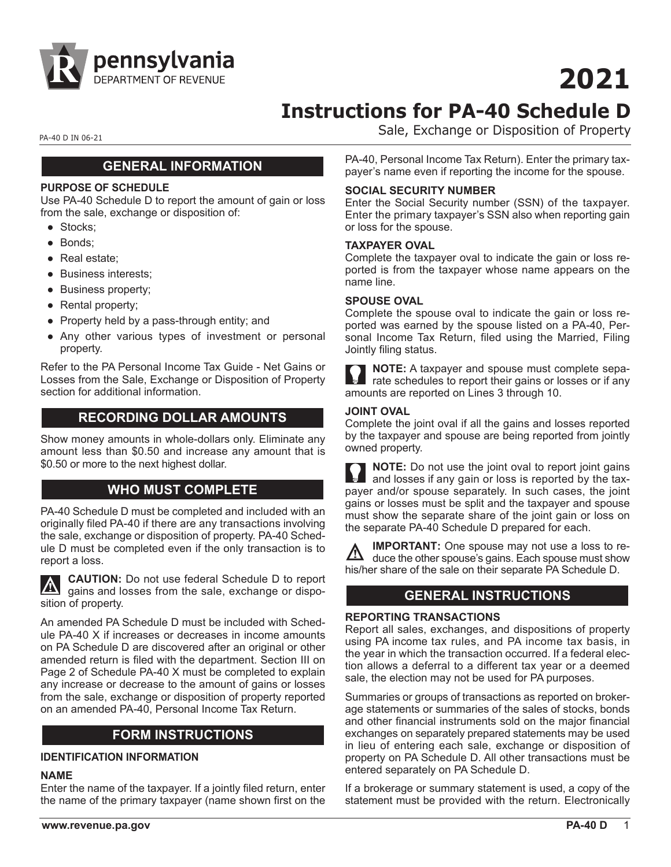

# **2021**

## **Instructions for PA-40 Schedule D**

PA-40 D IN 06-21 PA-40 D IN 06-21

#### **GENERAL INFORMATION**

#### **PURPOSE OF SCHEDULE**

Use PA-40 Schedule D to report the amount of gain or loss from the sale, exchange or disposition of:

- Stocks:
- Bonds;
- Real estate;
- Business interests;
- Business property;
- Rental property;
- Property held by a pass-through entity; and
- Any other various types of investment or personal property.

Refer to the PA Personal Income Tax Guide - Net Gains or Losses from the Sale, Exchange or Disposition of Property section for additional information.

#### **RECORDING DOLLAR AMOUNTS**

Show money amounts in whole-dollars only. Eliminate any amount less than \$0.50 and increase any amount that is \$0.50 or more to the next highest dollar.

#### **WHO MUST COMPLETE**

PA-40 Schedule D must be completed and included with an originally filed PA-40 if there are any transactions involving the sale, exchange or disposition of property. PA-40 Schedule D must be completed even if the only transaction is to report a loss.

**CAUTION:** Do not use federal Schedule D to report  $\Delta$ gains and losses from the sale, exchange or disposition of property.

An amended PA Schedule D must be included with Schedule PA-40 X if increases or decreases in income amounts on PA Schedule D are discovered after an original or other amended return is filed with the department. Section III on Page 2 of Schedule PA-40 X must be completed to explain any increase or decrease to the amount of gains or losses from the sale, exchange or disposition of property reported on an amended PA-40, Personal Income Tax Return.

#### **FORM INSTRUCTIONS**

#### **IDENTIFICATION INFORMATION**

#### **NAME**

Enter the name of the taxpayer. If a jointly filed return, enter the name of the primary taxpayer (name shown first on the

**www.revenue.pa.gov PA-40 D** 1

PA-40, Personal Income Tax Return). Enter the primary taxpayer's name even if reporting the income for the spouse.

#### **SOCIAL SECURITY NUMBER**

Enter the Social Security number (SSN) of the taxpayer. Enter the primary taxpayer's SSN also when reporting gain or loss for the spouse.

#### **TAXPAYER OVAL**

Complete the taxpayer oval to indicate the gain or loss reported is from the taxpayer whose name appears on the name line.

#### **SPOUSE OVAL**

Complete the spouse oval to indicate the gain or loss reported was earned by the spouse listed on a PA-40, Personal Income Tax Return, filed using the Married, Filing Jointly filing status.

**NOTE:** A taxpayer and spouse must complete separate schedules to report their gains or losses or if any amounts are reported on Lines 3 through 10.

#### **JOINT OVAL**

Complete the joint oval if all the gains and losses reported by the taxpayer and spouse are being reported from jointly owned property.

**NOTE:** Do not use the joint oval to report joint gains and losses if any gain or loss is reported by the taxpayer and/or spouse separately. In such cases, the joint gains or losses must be split and the taxpayer and spouse must show the separate share of the joint gain or loss on the separate PA-40 Schedule D prepared for each.

**IMPORTANT:** One spouse may not use a loss to reduce the other spouse's gains. Each spouse must show his/her share of the sale on their separate PA Schedule D.

#### **GENERAL INSTRUCTIONS**

#### **REPORTING TRANSACTIONS**

Report all sales, exchanges, and dispositions of property using PA income tax rules, and PA income tax basis, in the year in which the transaction occurred. If a federal election allows a deferral to a different tax year or a deemed sale, the election may not be used for PA purposes.

Summaries or groups of transactions as reported on brokerage statements or summaries of the sales of stocks, bonds and other financial instruments sold on the major financial exchanges on separately prepared statements may be used in lieu of entering each sale, exchange or disposition of property on PA Schedule D. All other transactions must be entered separately on PA Schedule D.

If a brokerage or summary statement is used, a copy of the statement must be provided with the return. Electronically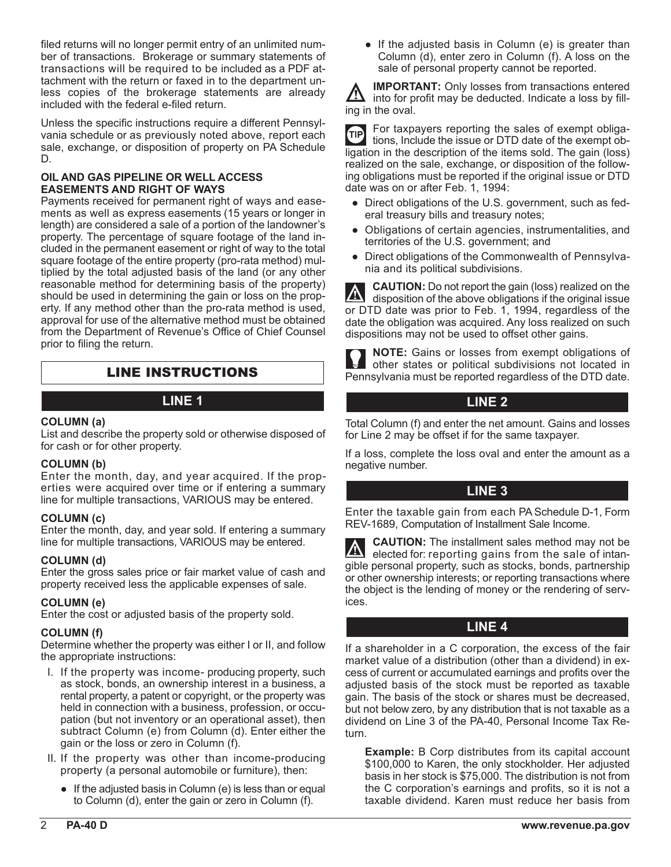filed returns will no longer permit entry of an unlimited number of transactions. Brokerage or summary statements of transactions will be required to be included as a PDF attachment with the return or faxed in to the department unless copies of the brokerage statements are already included with the federal e-filed return.

Unless the specific instructions require a different Pennsylvania schedule or as previously noted above, report each sale, exchange, or disposition of property on PA Schedule D.

#### **OIL AND GAS PIPELINE OR WELL ACCESS EASEMENTS AND RIGHT OF WAYS**

Payments received for permanent right of ways and easements as well as express easements (15 years or longer in length) are considered a sale of a portion of the landowner's property. The percentage of square footage of the land included in the permanent easement or right of way to the total square footage of the entire property (pro-rata method) multiplied by the total adjusted basis of the land (or any other reasonable method for determining basis of the property) should be used in determining the gain or loss on the property. If any method other than the pro-rata method is used, approval for use of the alternative method must be obtained from the Department of Revenue's Office of Chief Counsel prior to filing the return.

### LINE INSTRUCTIONS

#### **COLUMN (a)**

List and describe the property sold or otherwise disposed of for cash or for other property.

#### **COLUMN (b)**

Enter the month, day, and year acquired. If the properties were acquired over time or if entering a summary line for multiple transactions, VARIOUS may be entered.

#### **COLUMN (c)**

Enter the month, day, and year sold. If entering a summary line for multiple transactions, VARIOUS may be entered.

#### **COLUMN (d)**

Enter the gross sales price or fair market value of cash and property received less the applicable expenses of sale.

#### **COLUMN (e)**

Enter the cost or adjusted basis of the property sold.

#### **COLUMN (f)**

Determine whether the property was either I or II, and follow the appropriate instructions:

- I. If the property was income- producing property, such as stock, bonds, an ownership interest in a business, a rental property, a patent or copyright, or the property was held in connection with a business, profession, or occupation (but not inventory or an operational asset), then subtract Column (e) from Column (d). Enter either the gain or the loss or zero in Column (f).
- II. If the property was other than income-producing property (a personal automobile or furniture), then:
	- If the adjusted basis in Column (e) is less than or equal to Column (d), enter the gain or zero in Column (f).

• If the adjusted basis in Column (e) is greater than Column (d), enter zero in Column (f). A loss on the sale of personal property cannot be reported.

**IMPORTANT:** Only losses from transactions entered into for profit may be deducted. Indicate a loss by filling in the oval.

For taxpayers reporting the sales of exempt obliga-**TIP** tions, Include the issue or DTD date of the exempt obligation in the description of the items sold. The gain (loss) realized on the sale, exchange, or disposition of the following obligations must be reported if the original issue or DTD date was on or after Feb. 1, 1994:

- Direct obligations of the U.S. government, such as federal treasury bills and treasury notes;
- Obligations of certain agencies, instrumentalities, and territories of the U.S. government; and
- Direct obligations of the Commonwealth of Pennsylvania and its political subdivisions.

**CAUTION:** Do not report the gain (loss) realized on the  $\mathbb{A}$ disposition of the above obligations if the original issue or DTD date was prior to Feb. 1, 1994, regardless of the date the obligation was acquired. Any loss realized on such dispositions may not be used to offset other gains.

**NOTE:** Gains or losses from exempt obligations of other states or political subdivisions not located in Pennsylvania must be reported regardless of the DTD date.

#### **LINE 1 LINE 2**

Total Column (f) and enter the net amount. Gains and losses for Line 2 may be offset if for the same taxpayer.

If a loss, complete the loss oval and enter the amount as a negative number.

#### **LINE 3**

Enter the taxable gain from each PA Schedule D-1, Form REV-1689, Computation of Installment Sale Income.

**CAUTION:** The installment sales method may not be  $\mathcal{N}$ elected for: reporting gains from the sale of intangible personal property, such as stocks, bonds, partnership or other ownership interests; or reporting transactions where the object is the lending of money or the rendering of services.

#### **LINE 4**

If a shareholder in a C corporation, the excess of the fair market value of a distribution (other than a dividend) in excess of current or accumulated earnings and profits over the adjusted basis of the stock must be reported as taxable gain. The basis of the stock or shares must be decreased, but not below zero, by any distribution that is not taxable as a dividend on Line 3 of the PA-40, Personal Income Tax Return.

**Example:** B Corp distributes from its capital account \$100,000 to Karen, the only stockholder. Her adjusted basis in her stock is \$75,000. The distribution is not from the C corporation's earnings and profits, so it is not a taxable dividend. Karen must reduce her basis from